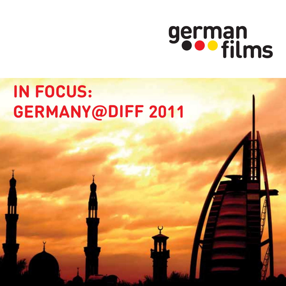# german<br>**OCO** films

### **IN FOCUS: GERMANY@DIFF 2011**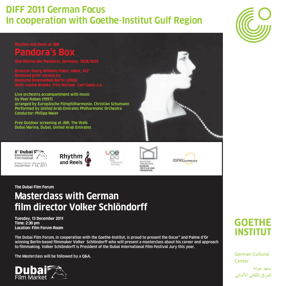### **DIFF 2011 German Focus In cooperation with Goethe-Institut Gulf Region**

### **Pandoras Box**

**Live orchestra accompaniment with music by Peer Raben (1997) arranged by Europäische Filmphilharmonie, Christian Schumann Performed by United Arab Emirates Philharmonic Orchestra Conductor: Philipp Maier**

**Free Outdoor screening at JBR, The Walk Dubai Marina, Dubai, United Arab Emirates**



Rhythm<br>and Reels









#### **The Dubai Film Forum**

### **Masterclass with German**  film director Volker Schlöndorff

**Tuesday, 13 December 2011 Time: 2:30 pm Location: Film Forum Room**

**The Dubai Film Forum, in cooperation with the Goethe-Institut, is proud to present the Oscar® and Palme dOr**  winning Berlin-based filmmaker Volker Schlöndorff who will present a masterclass about his career and approach to filmmaking. Volker Schlöndorff is President of the Dubai International Film Festival Jury this year.

**The Masterclass will be followed by a Q&A.**





### **GOETHE INSTITUT**

**German Cultural** Center معهد جوته المركز الثقافي الألماني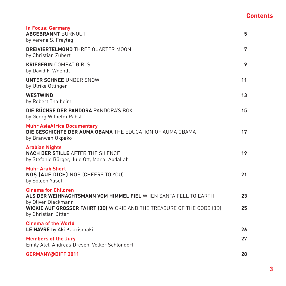### **Contents**

| <b>In Focus: Germany</b><br><b>ABGEBRANNT BURNOUT</b><br>by Verena S. Freytag                                                                                                                                                | 5        |
|------------------------------------------------------------------------------------------------------------------------------------------------------------------------------------------------------------------------------|----------|
| <b>DREIVIERTELMOND THREE QUARTER MOON</b><br>by Christian Zübert                                                                                                                                                             | 7        |
| <b>KRIEGERIN COMBAT GIRLS</b><br>by David F. Wnendt                                                                                                                                                                          | 9        |
| <b>UNTER SCHNEE UNDER SNOW</b><br>by Ulrike Ottinger                                                                                                                                                                         | 11       |
| <b>WESTWIND</b><br>by Robert Thalheim                                                                                                                                                                                        | 13       |
| DIE BÜCHSE DER PANDORA PANDORA'S BOX<br>by Georg Wilhelm Pabst                                                                                                                                                               | 15       |
| <b>Muhr AsiaAfrica Documentary</b><br>DIE GESCHICHTE DER AUMA OBAMA THE EDUCATION OF AUMA OBAMA<br>by Branwen Okpako                                                                                                         | 17       |
| <b>Arabian Nights</b><br><b>NACH DER STILLE AFTER THE SILENCE</b><br>by Stefanie Bürger, Jule Ott, Manal Abdallah                                                                                                            | 19       |
| <b>Muhr Arab Short</b><br><b>NOS (AUF DICH) NOS (CHEERS TO YOU)</b><br>by Soleen Yusef                                                                                                                                       | 21       |
| <b>Cinema for Children</b><br>ALS DER WEIHNACHTSMANN VOM HIMMEL FIEL WHEN SANTA FELL TO EARTH<br>by Oliver Dieckmann<br><b>WICKIE AUF GROSSER FAHRT (3D)</b> WICKIE AND THE TREASURE OF THE GODS (3D)<br>by Christian Ditter | 23<br>25 |
| <b>Cinema of the World</b><br><b>LE HAVRE</b> by Aki Kaurismäki                                                                                                                                                              | 26       |
| <b>Members of the Jury</b><br>Emily Atef, Andreas Dresen, Volker Schlöndorff                                                                                                                                                 | 27       |
| <b>GERMANY@DIFF 2011</b>                                                                                                                                                                                                     | 28       |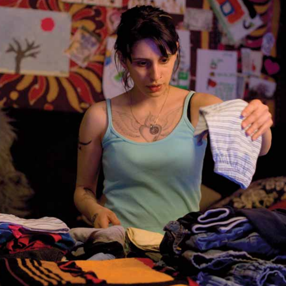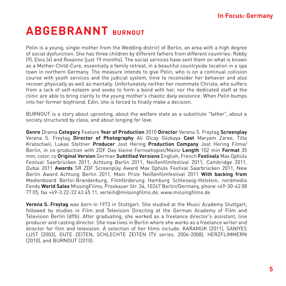### **ABGEBRANNT BURNOUT**

Pelin is a young, single mother from the Wedding district of Berlin, an area with a high degree of social dysfunction. She has three children by different fathers from different countries: Robby (9), Elvis (4) and Roxanne (just 19 months). The social services have sent them on what is known as a Mother-Child-Cure, essentially a family retreat, in a beautiful countryside location in a spa town in northern Germany. The measure intends to give Pelin, who is on a continual collision course with youth services and the judicial system, time to reconsider her behavior and also recover physically as well as mentally. Unfortunately neither her roommate Christa, who suffers from a lack of self-esteem and seeks to form a bond with her, nor the dedicated staff at the clinic are able to bring clarity to the young mother's chaotic daily existence. When Pelin bumps into her former boyfriend, Edin, she is forced to finally make a decision.

BURNOUT is a story about uprooting, about the welfare state as a substitute "father", about a society structured by class, and about longing for love.

**Genre** Drama **Category** Feature **Year of Production** 2010 **Director** Verena S. Freytag **Screen play** Verena S. Freytag **Director of Photography** Ali Olcay Gözkaya **Cast** Maryam Zaree, Tilla Kratochwil, Lukas Steltner **Producer** Jost Hering **Production Company** Jost Hering Filme/ Berlin, in co-production with ZDF Das kleine Fernsehspiel/Mainz **Length** 102 min **Format** 35 mm, color, cs **Original Version** German **Sub titled Versions** English, French **Festivals** Max Ophüls Festival Saarbrücken 2011, Achtung Berlin 2011, Neißenfilmfestival 2011, Cambridge 2011, Dubai 2011 **Awards** SR ZDF Screenplay Award Max Ophüls Festival Saarbrücken 2011, New Berlin Award Achtung Berlin 2011, Main Prize Neißen filmfestival 2011 **With backing from** Medien board Berlin-Brandenburg, Filmförderung Hamburg Schleswig-Holstein, nordmedia Fonds **World Sales** MissingFilms, Proskauer Str. 34, 10247 Berlin/Germany, phone +49-30-42 08 77 05, fax +49-3 22-22 43 45 11, verleih@missingfilms.de, www.missingfilms.de

**Verena S. Freytag** was born in 1973 in Stuttgart. She studied at the Music Academy Stuttgart, followed by studies in Film and Television Directing at the German Academy of Film and Television Berlin (dffb). After graduating, she worked as a freelance director's assistant, line producer and casting director. She now lives in Berlin where she works as a freelance writer and director for film and television. A selection of her films include: KARAMUK (2011), SANIYES LUST (2003), GUTE ZEITEN, SCHLECHTE ZEITEN (TV series, 2006-2008), HERZFLIMMERN (2010), and BURNOUT (2010).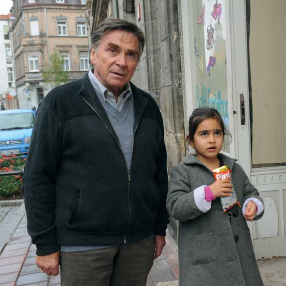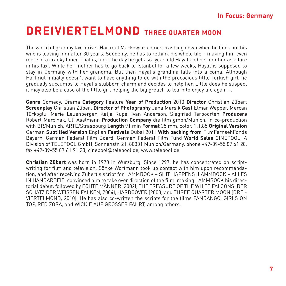### **DREIVIERTELMOND** THREE QUARTER MOON

The world of grumpy taxi-driver Hartmut Mackowiak comes crashing down when he finds out his wife is leaving him after 30 years. Suddenly, he has to rethink his whole life – making him even more of a cranky loner. That is, until the day he gets six-year-old Hayat and her mother as a fare in his taxi. While her mother has to go back to Istanbul for a few weeks, Hayat is supposed to stay in Germany with her grandma. But then Hayat's grandma falls into a coma. Although Hartmut initially doesn't want to have anything to do with the precocious little Turkish girl, he gradually succumbs to Hayat's stubborn charm and decides to help her. Little does he suspect it may also be a case of the little girl helping the big grouch to learn to enjoy life again …

**Genre** Comedy, Drama **Category** Feature **Year of Production** 2010 **Director** Christian Zübert **Screenplay** Christian Zübert **Director of Photography** Jana Marsik **Cast** Elmar Wepper, Mercan Türkoglu, Marie Leuenberger, Katja Rupé, Ivan Anderson, Siegfried Terpoorten **Producers** Robert Marcinak, Uli Aselmann **Production Company** die film gmbh/Munich, in co-production with BR/Munich, ARTE/Strasbourg **Length** 91 min **Format** 35 mm, color, 1:1.85 **Original Version** German **Sub titled Version** English **Festivals** Dubai 2011 **With backing from** FilmFernsehFonds Bayern, German Federal Film Board, German Federal Film Fund **World Sales** CINEPOOL, A Division of TELEPOOL GmbH, Sonnenstr. 21, 80331 Munich/Germany, phone +49-89-55 87 61 28, fax +49-89-55 87 61 91 28, cinepool@telepool.de, www.telepool.de

**Christian Zübert** was born in 1973 in Würzburg. Since 1997, he has concentrated on script writing for film and television. Sönke Wortmann took up contact with him upon recommendation, and after receiving Zübert's script for LAMMBOCK – SHIT HAPPENS (LAMMBOCK – ALLES IN HANDARBEIT) convinced him to take over direction of the film, making LAMMBOCK his directorial debut, followed by ECHTE MÄNNER (2002), THE TREASURE OF THE WHITE FALCONS (DER SCHATZ DER WEISSEN FALKEN, 2004), HARDCOVER (2008) and THREE QUARTER MOON (DREI-VIERTELMOND, 2010). He has also co-written the scripts for the films FANDANGO, GIRLS ON TOP, RED ZORA, and WICKIE AUF GROSSER FAHRT, among others.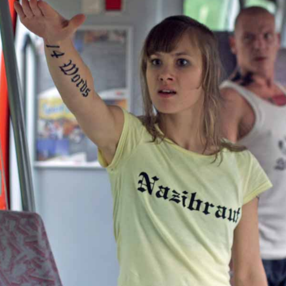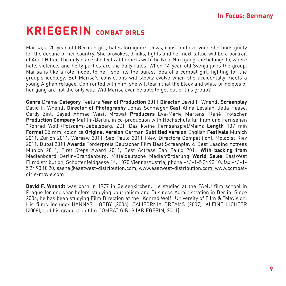### **KRIEGERIN COMBAT GIRLS**

Marisa, a 20-year-old German girl, hates foreigners, Jews, cops, and everyone she finds guilty for the decline of her country. She provokes, drinks, fights and her next tattoo will be a portrait of Adolf Hitler. The only place she feels at home is with the Neo-Nazi gang she belongs to, where hate, violence, and hefty parties are the daily rules. When 14-year-old Svenja joins the group, Marisa is like a role model to her: she fits the purest idea of a combat girl, fighting for the group's ideology. But Marisa's convictions will slowly evolve when she accidentally meets a young Afghan refugee. Confronted with him, she will learn that the black and white principles of her gang are not the only way. Will Marisa ever be able to get out of this group?

**Genre** Drama **Category** Feature **Year of Production** 2011 **Director** David F. Wnendt **Screen play** David F. Wnendt **Director of Photography** Jonas Schmager **Cast** Alina Levshin, Jella Haase, Gerdy Zint, Sayed Ahmad Wasil Mrowat **Producers** Eva-Marie Martens, René Frotscher **Production Company** Mafilm/Berlin, in co-production with Hochschule für Film und Fernsehen "Konrad Wolf"/Potsdam-Babelsberg, ZDF Das kleine Fernsehspiel/Mainz **Length** 107 min **Format** 35 mm, color, cs **Original Version** German **Subtitled Version** English **Festivals** Munich 2011, Zurich 2011, Warsaw 2011, Sao Paulo 2011 (New Directors Competition), Molodist Kiev 2011, Dubai 2011 **Awards** Förderpreis Deutscher Film Best Screenplay & Best Leading Actress Munich 2011, First Steps Award 2011, Best Actress Sao Paulo 2011 **With backing from** Medienboard Berlin-Brandenburg, Mitteldeutsche Medien förderung **World Sales** EastWest Film distribution, Schottenfeldgasse 14, 1070 Vienna/Austria, phone +43-1-5 24 93 10, fax +43-1- 5 24 93 10 20, sasha@eastwest-distribution.com, www.eastwest-distribution.com, www.combatgirls-movie.com

**David F. Wnendt** was born in 1977 in Gelsenkirchen. He studied at the FAMU film school in Prague for one year before studying Journalism and Business Administration in Berlin. Since 2004, he has been studying Film Direction at the "Konrad Wolf" University of Film & Television. His films in clude: HANNAS HOBBY (2006), CALIFORNIA DREAMS (2007), KLEINE LICHTER (2008), and his graduation film COMBAT GIRLS (KRIEGERIN, 2011).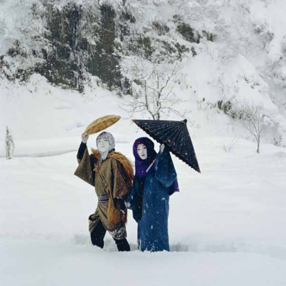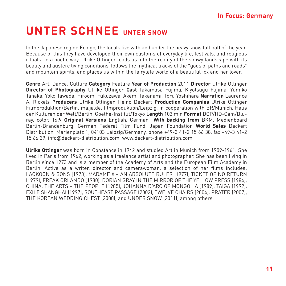### **UNTER SCHNEE UNTER SNOW**

In the Japanese region Echigo, the locals live with and under the heavy snow fall half of the year. Because of this they have developed their own customs of everyday life, festivals, and religious rituals. In a poetic way, Ulrike Ottinger leads us into the reality of the snowy landscape with its beauty and austere living conditions, follows the mythical tracks of the "gods of paths and roads" and mountain spirits, and places us within the fairytale world of a beautiful fox and her lover.

**Genre** Art, Dance, Culture **Category** Feature **Year of Production** 2011 **Director** Ulrike Ottinger **Director of Photography** Ulrike Ottinger **Cast** Takamasa Fujima, Kiyotsugu Fujima, Yumiko Tanaka, Yoko Tawada, Hiroomi Fukuzawa, Akemi Takanami, Toru Yoshihara **Narration** Laurence A. Rickels **Producers** Ulrike Ottinger, Heino Deckert **Production Companies** Ulrike Ottinger Film produktion/Berlin, ma.ja.de. filmproduktion/Leipzig, in cooperation with BR/Munich, Haus der Kulturen der Welt/Berlin, Goethe-Institut/Tokyo **Length** 103 min **Format** DCP/HD-Cam/Bluray, color, 16:9 **Original Versions** English, German **With back ing from** BKM, Medienboard Berlin-Brandenburg, German Federal Film Fund, Japan Foundation **World Sales** Deckert Distribution, Marienplatz 1, 04103 Leipzig/Germany, phone +49-3 41-2 15 66 38, fax +49-3 41-2 15 66 39, info@deckert-distribution.com, www.deckert-distribution.com

**Ulrike Ottinger** was born in Constance in 1942 and studied Art in Munich from 1959-1961. She lived in Paris from 1962, working as a freelance artist and photographer. She has been living in Berlin since 1973 and is a member of the Academy of Arts and the European Film Academy in Berlin. Active as a writer, director and camerawoman, a selection of her films includes: LAOKOON & SONS (1973), MADAME X – AN ABSOLUTE RULER (1977), TICKET OF NO RETURN (1979), FREAK ORLANDO (1980), DORIAN GRAY IN THE MIRROR OF THE YELLOW PRESS (1984), CHINA. THE ARTS – THE PEOPLE (1985), JOHANNA D'ARC OF MONGOLIA (1989), TAIGA (1992), EXILE SHANGHAI (1997), SOUTHEAST PASSAGE (2002), TWELVE CHAIRS (2004), PRATER (2007), THE KOREAN WEDDING CHEST (2008), and UNDER SNOW (2011), among others.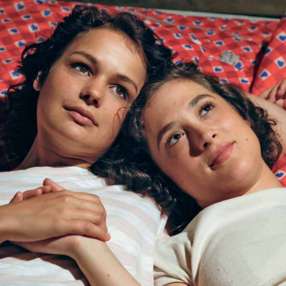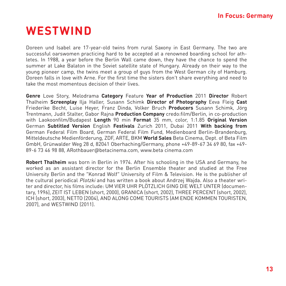### **WESTWIND**

Doreen und Isabel are 17-year-old twins from rural Saxony in East Germany. The two are success ful oarswomen practicing hard to be accepted at a renowned boarding school for ath letes. In 1988, a year before the Berlin Wall came down, they have the chance to spend the summer at Lake Balaton in the Soviet satellite state of Hungary. Already on their way to the young pioneer camp, the twins meet a group of guys from the West German city of Hamburg. Doreen falls in love with Arne. For the first time the sisters don't share everything and need to take the most momentous decision of their lives.

**Genre** Love Story, Melodrama **Category** Feature **Year of Production** 2011 **Director** Robert Thalheim **Screenplay** Ilja Haller, Susann Schimk **Director of Photography** Eeva Fleig **Cast** Friederike Becht, Luise Heyer, Franz Dinda, Volker Bruch **Producers** Susann Schimk, Jörg Trentmann, Judit Stalter, Gabor Rajna **Production Company** credo:film/Berlin, in co-production with Laokoonfilm/Budapest **Length** 90 min **Format** 35 mm, color, 1:1.85 **Original Version** German **Subtitled Version** English **Festivals** Zurich 2011, Dubai 2011 **With backing from** German Federal Film Board, German Federal Film Fund, Medienboard Berlin-Brandenburg, Mitteldeutsche Medienförderung, ZDF, ARTE, BKM **World Sales** Beta Cinema, Dept. of Beta Film GmbH, Grünwalder Weg 28 d, 82041 Oberhaching/Ger many, phone +49-89-67 34 69 80, fax +49- 89-6 73 46 98 88, ARothbauer@betacinema.com, www.beta cinema.com

**Robert Thalheim** was born in Berlin in 1974. After his schooling in the USA and Germany, he worked as an assistant director for the Berlin Ensemble theater and studied at the Free University Berlin and the "Konrad Wolf" University of Film & Television. He is the publisher of the cultural periodical Plotzki and has written a book about Andrzej Wajda. Also a theater writer and director, his films include: UM VIER UHR PLÖTZLICH GING DIE WELT UNTER (documen tary, 1996), ZEIT IST LEBEN (short, 2000), GRANICA (short, 2002), THREE PERCENT (short, 2002), ICH (short, 2003), NETTO (2004), AND ALONG COME TOURISTS (AM ENDE KOMMEN TOURISTEN, 2007), and WESTWIND (2011).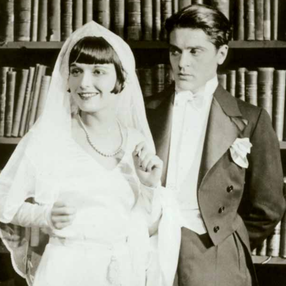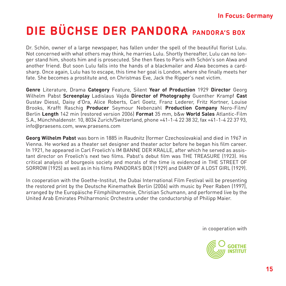### **DIE BÜCHSE DER PANDORA PANDORA'S BOX**

Dr. Schön, owner of a large newspaper, has fallen under the spell of the beautiful florist Lulu. Not concerned with what others may think, he marries Lulu. Shortly thereafter, Lulu can no longer stand him, shoots him and is prosecuted. She then flees to Paris with Schön's son Alwa and an other friend. But soon Lulu falls into the hands of a blackmailer and Alwa becomes a card sharp. Once again, Lulu has to escape, this time her goal is London, where she finally meets her fate. She becomes a prostitute and, on Christmas Eve, Jack the Ripper's next victim.

**Genre** Literature, Drama **Category** Feature, Silent **Year of Production** 1929 **Director** Georg Wilhelm Pabst **Screenplay** Ladislaus Vajda **Director of Photography** Guenther Krampf **Cast** Gustav Diessl, Daisy d'Ora, Alice Roberts, Carl Goetz, Franz Lederer, Fritz Kortner, Louise Brooks, Krafft Raschig **Producer** Seymour Nebenzahl **Production Company** Nero-Film/ Berlin **Length** 142 min (restored version 2006) **Format** 35 mm, b&w **World Sales** Atlantic-Film S.A., Münchhaldenstr. 10, 8034 Zurich/Switzerland, phone +41-1-4 22 38 32, fax +41-1-4 22 37 93, info@praesens.com, www.praesens.com

**Georg Wilhelm Pabst** was born in 1885 in Raudnitz (former Czechoslovakia) and died in 1967 in Vienna. He worked as a theater set designer and theater actor before he began his film career. In 1921, he appeared in Carl Froelich's IM BANNE DER KRALLE, after which he served as assis tant director on Froelich's next two films. Pabst's debut film was THE TREASURE (1923). His critical analysis of bourgeois society and morals of the time is evidenced in THE STREET OF SORROW (1925) as well as in his films PANDORA'S BOX (1929) and DIARY OF A LOST GIRL (1929).

In cooperation with the Goethe-Institut, the Dubai International Film Festival will be presenting the restored print by the Deutsche Kinemathek Berlin (2006) with music by Peer Raben (1997), arranged by the Europäische Filmphilharmonie, Christian Schumann, and performed live by the United Arab Emirates Philharmonic Orchestra under the conductorship of Philipp Maier.

in cooperation with

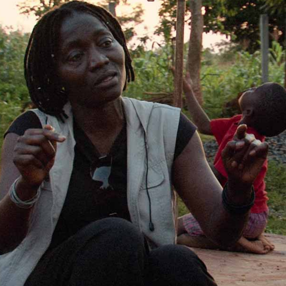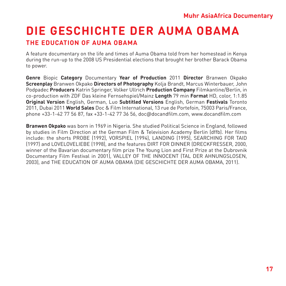### **DIE GESCHICHTE DER AUMA OBAMA**

#### **THE EDUCATION OF AUMA OBAMA**

A feature documentary on the life and times of Auma Obama told from her homestead in Kenya during the run-up to the 2008 US Presidential elections that brought her brother Barack Obama to power.

**Genre** Biopic **Category** Documentary **Year of Production** 2011 **Director** Branwen Okpako **Screenplay** Branwen Okpako **Directors of Photography** Kolja Brandt, Marcus Winterbauer, John Podpadec **Producers** Katrin Springer, Volker Ullrich **Production Company** Filmkantine/Berlin, in co-production with ZDF Das kleine Fernsehspiel/Mainz **Length** 79 min **Format** HD, color, 1:1.85 **Original Version** English, German, Luo **Subtitled Versions** English, German **Festivals** Toronto 2011, Dubai 2011 **World Sales** Doc & Film International, 13 rue de Portefoin, 75003 Paris/France, phone +33-1-42 77 56 87, fax +33-1-42 77 36 56, doc@docandfilm.com, www.docandfilm.com

**Branwen Okpako** was born in 1969 in Nigeria. She studied Political Science in England, followed by studies in Film Direction at the German Film & Television Academy Berlin (dffb). Her films include: the shorts PROBE (1992), VORSPIEL (1994), LANDING (1995), SEARCHING FOR TAID (1997) and LOVELOVELIEBE (1998), and the features DIRT FOR DINNER (DRECKFRESSER, 2000, winner of the Bavarian documentary film prize The Young Lion and First Prize at the Dubrovnik Documentary Film Festival in 2001), VALLEY OF THE INNOCENT (TAL DER AHNUNGSLOSEN, 2003), and THE EDUCATION OF AUMA OBAMA (DIE GESCHICHTE DER AUMA OBAMA, 2011).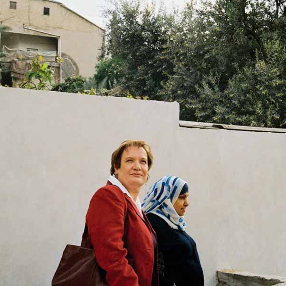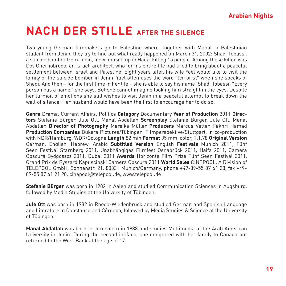### **Arabian Nights**

### **NACH DER STILLE AFTER THE SILENCE**

Two young German filmmakers go to Palestine where, together with Manal, a Palestinian student from Jenin, they try to find out what really happened on March 31, 2002: Shadi Tobassi, a sui cide bomber from Jenin, blew himself up in Haifa, killing 15 people. Among those killed was Dov Chernobroda, an Israeli architect, who for his entire life had tried to bring about a peaceful settlement between Israel and Palestine. Eight years later, his wife Yaël would like to visit the family of the suicide bomber in Jenin. Yaël often uses the word "terrorist" when she speaks of Shadi. And then – for the first time in her life – she is able to say his name: Shadi Tobassi: "Every person has a name," she says. But she cannot imagine looking him straight in the eyes. Despite her turmoil of emotions she still wishes to visit Jenin in a peaceful attempt to break down the wall of silence. Her husband would have been the first to encourage her to do so.

**Genre** Drama, Current Affairs, Politics **Category** Documentary **Year of Production** 2011 **Direc tors** Stefanie Bürger, Jule Ott, Manal Abdallah **Screenplay** Stefanie Bürger, Jule Ott, Manal Abdallah **Director of Photography** Mareike Müller **Producers** Marcus Vetter, Fakhri Hamad **Production Companies** Bukera Pictures/Tübingen, Filmperspektive/Stuttgart, in co-production with NDR/Hamburg, WDR/Cologne **Length** 82 min **Format** 35 mm, color, 1:1.78 **Original Version** German, English, Hebrew, Arabic **Subtitled Version** English **Festivals** Munich 2011, Fünf Seen Festival Starnberg 2011, Unabhängiges Filmfest Osnabrück 2011, Haifa 2011, Camera Obscura Bydgoszcz 2011, Dubai 2011 **Awards** Horizonte Film Prize Fünf Seen Festival 2011, Grand Prix de Ryszard Kapuscinski Camera Obscura 2011 **World Sales** CINEPOOL, A Division of TELEPOOL GmbH, Sonnenstr. 21, 80331 Munich/Germany, phone +49-89-55 87 61 28, fax +49- 89-55 87 61 91 28, cinepool@telepool.de, www.telepool.de

**Stefanie Bürger** was born in 1982 in Aalen and studied Communication Sciences in Augsburg, followed by Media Studies at the University of Tübingen.

**Jule Ott** was born in 1982 in Rheda-Wiedenbrück and studied German and Spanish Language and Literature in Constance and Córdoba, followed by Media Studies & Science at the University of Tübingen.

**Manal Abdallah** was born in Jerusalem in 1988 and studies Multimedia at the Arab American University in Jenin. During the second intifada, she emigrated with her family to Canada but returned to the West Bank at the age of 17.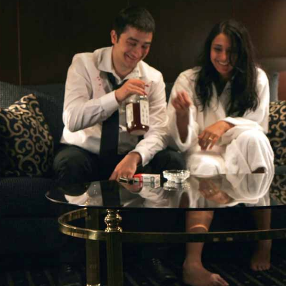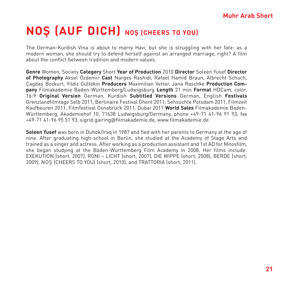### **Muhr Arab Short**

### **NOS¸ (AUF DICH) NOS¸ (CHEERS TO YOU)**

The German-Kurdish Vina is about to marry Havi, but she is struggling with her fate: as a modern woman, she should try to defend herself against an arranged marriage, right? A film about the conflict between tradition and modern values.

**Genre** Women, Society **Category** Short **Year of Production** 2010 **Director** Soleen Yusef **Director of Photography** Aksel Özdemir **Cast** Narges Rashidi, Rafael Hamid Braun, Albrecht Schuch, Çagdas¸ Bozkurt, Yildiz Gültekin **Producers** Maximilian Vetter, Jana Raschke **Production Com pany** Filmakademie Baden-Württemberg/Ludwigsburg **Length** 21 min **Format** HDCam, color, 16:9 **Original Version** German, Kurdish **Subtitled Versions** German, English **Festivals** Grenzland filmtage Selb 2011, Berlinaire Festival Ghent 2011, Sehsüchte Potsdam 2011, Filmzeit Kauf beuren 2011, Filmfestival Osnabrück 2011, Dubai 2011 **World Sales** Filmakademie Baden-Württemberg, Akademiehof 10, 71638 Ludwigsburg/Germany, phone +49-71 41-96 91 93, fax +49-71 41-96 95 51 93, sigrid.gairing@filmakademie.de, www.filmakademie.de

**Soleen Yusef** was born in Duhok/Iraq in 1987 and fled with her parents to Germany at the age of nine. After graduating high-school in Berlin, she studied at the Academy of Stage Arts and trained as a singer and actress. After working as a production assistant and 1st AD for Mitosfilm, she began studying at the Baden-Württemberg Film Academy in 2008. Her films include: EXEKUTION (short, 2007), RONI – LICHT (short, 2007), DIE WIPPE (short, 2008), BERDE (short, 2009), NOS¸ (CHEERS TO YOU) (short, 2010), and TRATTORIA (short, 2011).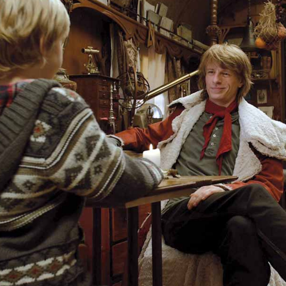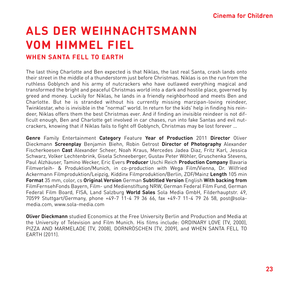### **ALS DER WEIHNACHTSMANN VOM HIMMEL FIEL**

#### **WHEN SANTA FELL TO EARTH**

The last thing Charlotte and Ben expected is that Niklas, the last real Santa, crash lands onto their street in the middle of a thunderstorm just before Christmas. Niklas is on the run from the ruthless Goblynch and his army of nutcrackers who have outlawed everything magical and transformed the bright and peaceful Christmas world into a dark and hostile place, governed by greed and money. Luckily for Niklas, he lands in a friendly neighborhood and meets Ben and Charlotte. But he is stranded without his currently missing marzipan-loving reindeer, Twinklestar, who is invisible in the "normal" world. In return for the kids' help in finding his rein deer, Niklas offers them the best Christmas ever. And if finding an invisible reindeer is not difficult enough, Ben and Charlotte get involved in car chases, run into fake Santas and evil nutcrackers, knowing that if Niklas fails to fight off Goblynch, Christmas may be lost forever …

**Genre** Family Entertainment **Category** Feature **Year of Production** 2011 **Director** Oliver Dieckmann **Screenplay** Benjamin Biehn, Robin Getrost **Director of Photography** Alexander Fischerkoesen **Cast** Alexander Scheer, Noah Kraus, Mercedes Jadea Diaz, Fritz Karl, Jessica Schwarz, Volker Lechtenbrink, Gisela Schneeberger, Gustav Peter Wöhler, Gruschenka Stevens, Paul Alzhäuser, Tamino Wecker, Eric Evers **Producer** Uschi Reich **Production Company** Bavaria Filmverleih- & Produktion/Munich, in co-production with Wega Film/Vienna, Dr. Wilfried Ackermann Filmproduktion/Leipzig, Kiddinx Filmproduktion/Berlin, ZDF/Mainz **Length** 105 min **Format** 35 mm, color, cs **Original Version** German **Subtitled Version** English **With backing from** FilmFernsehFonds Bayern, Film- und Medienstiftung NRW, German Federal Film Fund, German Federal Film Board, FISA, Land Salzburg **World Sales** Sola Media GmbH, Filderhauptstr. 49, 70599 Stuttgart/Germany, phone +49-7 11-4 79 36 66, fax +49-7 11-4 79 26 58, post@solamedia.com, www.sola-media.com

**Oliver Dieckmann** studied Economics at the Free University Berlin and Production and Media at the University of Television and Film Munich. His films include: ORDINARY LOVE (TV, 2000), PIZZA AND MARMELADE (TV, 2008), DORNRÖSCHEN (TV, 2009), and WHEN SANTA FELL TO EARTH (2011).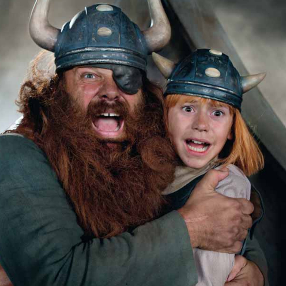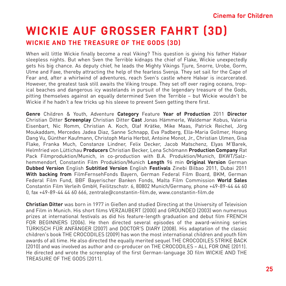### **Cinema for Children**

### **WICKIE AUF GROSSER FAHRT (3D)**

### **WICKIE AND THE TREASURE OF THE GODS (3D)**

When will little Wickie finally become a real Viking? This question is giving his father Halvar sleepless nights. But when Sven the Terrible kidnaps the chief of Flake, Wickie unexpectedly gets his big chance. As deputy chief, he leads the Mighty Vikings Tjure, Snorre, Urobe, Gorm, Ulme and Faxe, thereby attracting the help of the fearless Svenja. They set sail for the Cape of Fear and, after a whirlwind of adventures, reach Sven's castle where Halvar is incarcerated. However, the greatest task still awaits the Viking troupe. They set off over raging oceans, trop ical beaches and dangerous icy wastelands in pursuit of the legendary treasure of the Gods, pitting themselves against an equally determined Sven the Terrible – but Wickie wouldn't be Wickie if he hadn't a few tricks up his sleeve to prevent Sven getting there first.

**Genre** Children & Youth, Adventure **Category** Feature **Year of Production** 2011 **Director** Christian Ditter **Screenplay** Christian Ditter **Cast** Jonas Hämmerle, Waldemar Kobus, Valeria Eisenbart, Nic Romm, Christian A. Koch, Olaf Krätke, Mike Maas, Patrick Reichel, Jörg Moukaddam, Mercedes Jadea Diaz, Sanne Schnapp, Eva Padberg, Ella-Maria Gollmer, Hoang Dang Vu, Günther Kaufmann, Christoph Maria Herbst, Antoine Monot, Jr., Christian Ulmen, Gisa Flake, Franka Much, Constanze Lindner, Felix Decker, Jacob Matschenz, Elyas M'Barek, Helmfried von Lüttichau **Producers** Christian Becker, Lena Schömann **Production Company** Rat Pack Filmproduktion/Munich, in co-production with B.A. Produktion/Munich, BKWT/Salzhemmendorf, Constantin Film Produktion/Munich **Length** 96 min **Original Version** German **Dubbed Version** English **Subtitled Version** English **Festivals** Zinebi Bilbao 2011, Dubai 2011 **With backing from** FilmFernsehFonds Bayern, German Federal Film Board, BKM, German Federal Film Fund, BBF Bayerischer Banken Fonds, Malta Film Commission **World Sales** Constantin Film Verleih GmbH, Feilitzschstr. 6, 80802 Munich/Germany, phone +49-89-44 44 60 0, fax +49-89-44 44 60 666, zentrale@constantin-film.de, www.constantin-film.de

**Christian Ditter** was born in 1977 in Gießen and studied Directing at the University of Television and Film in Munich. His short films VERZAUBERT (2000) and GROUNDED (2003) won numerous prizes at international festivals as did his feature-length graduation and debut film FRENCH FOR BEGINNERS (2006). He then directed several episodes of the award-winning series TÜRKISCH FÜR ANFÄNGER (2007) and DOCTOR'S DIARY (2008). His adaptation of the classic children's book THE CROCODILES (2009) has won the most international children and youth film awards of all time. He also directed the equally merited sequel THE CROCODILES STRIKE BACK (2010) and was involved as author and co-producer on THE CROCODILES – ALL FOR ONE (2011). He directed and wrote the screenplay of the first German-language 3D film WICKIE AND THE TREASURE OF THE GODS (2011).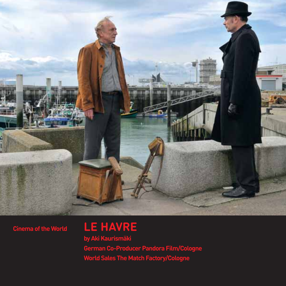

### **Cinema of the World LE HAVRE**

**by Aki Kaurismäki German Co-Producer Pandora Film/Cologne World Sales The Match Factory/Cologne**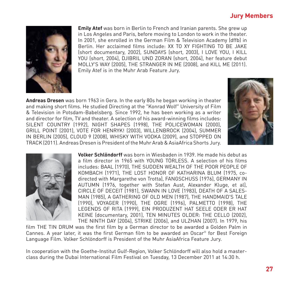### **Jury Members**



**Emily Atef** was born in Berlin to French and Iranian parents. She grew up in Los Angeles and Paris, before moving to London to work in the theater. In 2001, she enrolled in the German Film & Television Academy (dffb) in Berlin. Her acclaimed films include: XX TO XY FIGHTING TO BE JAKE (short documentary, 2002), SUNDAYS (short, 2003), I LOVE YOU, I KILL YOU (short, 2004), DJIBRIL UND ZORAN (short, 2004), her feature debut MOLLY'S WAY (2005), THE STRANGER IN ME (2008), and KILL ME (2011). Emily Atef is in the Muhr Arab Feature Jury.

**Andreas Dresen** was born 1963 in Gera. In the early 80s he began working in theater and making short films. He studied Directing at the "Konrad Wolf" University of Film & Television in Potsdam-Babelsberg. Since 1992, he has been working as a writer and director for film, TV and theater. A selection of his award-winning films includes: SILENT COUNTRY (1992), NIGHT SHAPES (1998), THE POLICEWOMAN (2000), GRILL POINT (2001), VOTE FOR HENRYK! (2003), WILLENBROCK (2004), SUMMER IN BERLIN (2005), CLOUD 9 (2008), WHISKY WITH VODKA (2009), and STOPPED ON TRACK (2011). Andreas Dresen is President of the Muhr Arab & AsiaAfrica Shorts Jury.





**Volker Schlöndorff** was born in Wiesbaden in 1939. He made his debut as a film director in 1965 with YOUNG TÖRLESS. A selection of his films includes: BAAL (1970), THE SUDDEN WEALTH OF THE POOR PEOPLE OF KOMBACH (1971), THE LOST HONOR OF KATHARINA BLUM (1975, codirected with Margarethe von Trotta), FANGSCHUSS (1976), GERMANY IN AUTUMN (1976, together with Stefan Aust, Alexander Kluge, et al), CIRCLE OF DECEIT (1981), SWANN IN LOVE (1983), DEATH OF A SALES-MAN (1985), A GATHERING OF OLD MEN (1987), THE HANDMAID'S TALE (1990), VOYAGER (1990), THE OGRE (1996), PALMETTO (1998), THE LEGENDS OF RITA (1999), EIN PRODUZENT HAT SEELE ODER ER HAT KEINE (documentary, 2001), TEN MINUTES OLDER: THE CELLO (2002), THE NINTH DAY (2004), STRIKE (2006), and ULZHAN (2007). In 1979, his

film THE TIN DRUM was the first film by a German director to be awarded a Golden Palm in Cannes. A year later, it was the first German film to be awarded an Oscar® for Best Foreign Language Film. Volker Schlöndorff is President of the Muhr AsiaAfrica Feature Jury.

In cooperation with the Goethe-Institut Gulf-Region, Volker Schlöndorff will also hold a masterclass during the Dubai International Film Festival on Tuesday, 13 December 2011 at 14:30 h.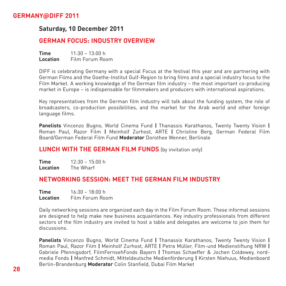#### **GERMANY@DIFF 2011**

#### **Saturday, 10 December 2011**

#### **GERMAN FOCUS: INDUSTRY OVERVIEW**

**Time** 11:30 – 13:00 h<br>**Location** Film Forum Roo **Location** Film Forum Room

DIFF is celebrating Germany with a special Focus at the festival this year and are partnering with German Films and the Goethe-Institut Gulf-Region to bring films and a special industry focus to the Film Market. A working knowledge of the German film industry – the most important co-producing market in Europe – is indispensable for filmmakers and producers with international aspirations.

Key representatives from the German film industry will talk about the funding system, the role of broadcasters, co-production possibilities, and the market for the Arab world and other foreign language films.

**Panelists** Vincenzo Bugno, World Cinema Fund **|** Thanassis Karathanos, Twenty Twenty Vision **|** Roman Paul, Razor Film **|** Meinholf Zurhost, ARTE **|** Christine Berg, German Federal Film Board/German Federal Film Fund **Moderator** Dorothee Wenner, Berlinale

#### **LUNCH WITH THE GERMAN FILM FUNDS** (by invitation only)

**Time** 12:30 – 15:00 h<br>**Location** The Wharf **Location** The Wharf

### **NETWORKING SESSION: MEET THE GERMAN FILM INDUSTRY**

| Time     | $16:30 - 18:00$ h |
|----------|-------------------|
| Location | Film Forum Room   |

Daily networking sessions are organized each day in the Film Forum Room. These informal sessions are designed to help make new business acquaintances. Key industry professionals from different sectors of the film industry are invited to host a table and delegates are welcome to join them for discussions.

**Panelists** Vincenzo Bugno, World Cinema Fund **|** Thanassis Karathanos, Twenty Twenty Vision **|** Roman Paul, Razor Film **|** Meinholf Zurhost, ARTE **|** Petra Müller, Film-und Medienstiftung NRW **|** Gabriele Pfennigsdorf, FilmFernsehFonds Bayern **|** Thomas Schaeffer & Jochen Coldewey, nord media Fonds **|** Manfred Schmidt, Mitteldeutsche Medienförderung **|** Kirsten Niehuus, Medienboard Berlin-Brandenburg **Moderator** Colin Stanfield, Dubai Film Market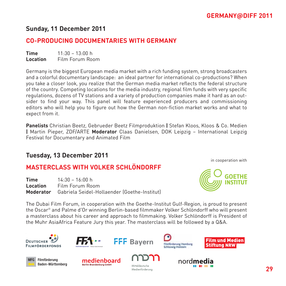### **GERMANY@DIFF 2011**

#### **Sunday, 11 December 2011**

#### **CO-PRODUCING DOCUMENTARIES WITH GERMANY**

**Time** 11:30 – 13:00 h<br>**Location** Film Forum Ro **Location** Film Forum Room

Germany is the biggest European media market with a rich funding system, strong broadcasters and a colorful documentary landscape: an ideal partner for international co-productions? When you take a closer look, you realize that the German media market reflects the federal structure of the country. Competing locations for the media industry, regional film funds with very specific regulations, dozens of TV stations and a variety of production companies make it hard as an out sider to find your way. This panel will feature experienced producers and commissioning editors who will help you to figure out how the German non-fiction market works and what to expect from it.

**Panelists** Christian Beetz, Gebrueder Beetz Filmproduktion **|** Stefan Kloos, Kloos & Co. Medien **|** Martin Pieper, ZDF/ARTE **Moderator** Claas Danielsen, DOK Leipzig – International Leipzig Festival for Documentary and Animated Film

### **Tuesday, 13 December 2011 in cooperation with**

### **MASTERCLASS WITH VOLKER SCHLÖNDORFF**

**Time** 14:30 – 16:00 h **Location** Film Forum Room **Moderator** Gabriela Seidel-Hollaender (Goethe-Institut)



The Dubai Film Forum, in cooperation with the Goethe-Institut Gulf-Region, is proud to present the Oscar® and Palme d'Or winning Berlin-based filmmaker Volker Schlöndorff who will present a masterclass about his career and approach to filmmaking. Volker Schlöndorff is President of the Muhr AsiaAfrica Feature Jury this year. The masterclass will be followed by a Q&A.

> Mitteldeutsche Medienförderung



MFG Filmförderung

Baden-Württemberg



medienboard

**Berlin-Brandenburg GmbH** 





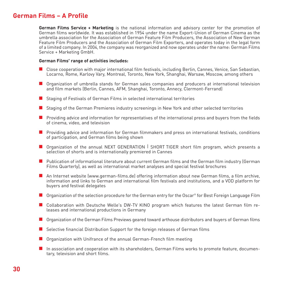#### **German Films – A Profile**

**German Films Service + Marketing** is the national information and advisory center for the promotion of German films worldwide. It was established in 1954 under the name Export-Union of German Cinema as the umbrella association for the Association of German Feature Film Producers, the Association of New German Feature Film Producers and the Association of German Film Exporters, and operates today in the legal form of a limited company. In 2004, the company was reorganized and now operates under the name: German Films Service + Marketing GmbH.

#### **German Films' range of activities includes:**

- Close cooperation with major international film festivals, including Berlin, Cannes, Venice, San Sebastian, Locarno, Rome, Karlovy Vary, Montreal, Toronto, New York, Shanghai, Warsaw, Moscow, among others
- **D** Organization of umbrella stands for German sales companies and producers at international television and film markets (Berlin, Cannes, AFM, Shanghai, Toronto, Annecy, Clermont-Ferrand)
- **E** Staging of Festivals of German Films in selected international territories
- **B** Staging of the German Premieres industry screenings in New York and other selected territories
- **Providing advice and information for representatives of the international press and buyers from the fields** of cinema, video, and television
- **P** Providing advice and information for German filmmakers and press on international festivals, conditions of participation, and German films being shown
- Organization of the annual NEXT GENERATION | SHORT TIGER short film program, which presents a selection of shorts and is internationally premiered in Cannes
- **Publication of informational literature about current German films and the German film industry (German** Films Quarterly), as well as international market analyses and special festival brochures
- An Internet website (www.german-films.de) offering information about new German films, a film archive, in formation and links to German and international film festivals and institutions, and a VOD platform for buyers and festival delegates
- Organization of the selection procedure for the German entry for the Oscar® for Best Foreign Language Film
- **D** Collaboration with Deutsche Welle's DW-TV KINO program which features the latest German film releases and international productions in Germany
- **D** Organization of the German Films Previews geared toward arthouse distributors and buyers of German films
- **B** Selective financial Distribution Support for the foreign releases of German films
- **D** Organization with Unifrance of the annual German-French film meeting
- In association and cooperation with its shareholders, German Films works to promote feature, documentary, television and short films.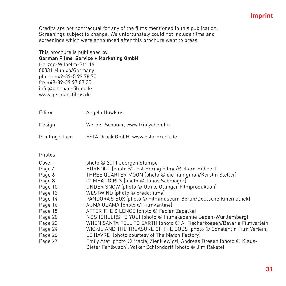### **Imprint**

Credits are not contractual for any of the films mentioned in this publication. Screenings subject to change. We unfortunately could not include films and screenings which were announced after this brochure went to press.

#### This brochure is published by:

**German Films Service + Marketing GmbH**

Herzog-Wilhelm-Str. 16 80331 Munich/Germany phone +49-89-5 99 78 70 fax +49-89-59 97 87 30 info@german-films.de www.german-films.de

| Editor | Angela Hawkins |
|--------|----------------|
|--------|----------------|

Design Werner Schauer, www.triptychon.biz

Printing Office ESTA Druck GmbH, www.esta-druck.de

Photos

| Cover   | photo © 2011 Juergen Stumpe                                                                                                           |
|---------|---------------------------------------------------------------------------------------------------------------------------------------|
| Page 4  | BURNOUT (photo © Jost Hering Filme/Richard Hübner)                                                                                    |
| Page 6  | THREE QUARTER MOON (photo © die film gmbh/Kerstin Stelter)                                                                            |
| Page 8  | COMBAT GIRLS (photo © Jonas Schmager)                                                                                                 |
| Page 10 | UNDER SNOW (photo © Ulrike Ottinger Filmproduktion)                                                                                   |
| Page 12 | WESTWIND (photo © credo:films)                                                                                                        |
| Page 14 | PANDORA'S BOX (photo © Filmmuseum Berlin/Deutsche Kinemathek)                                                                         |
| Page 16 | AUMA OBAMA (photo © Filmkantine)                                                                                                      |
| Page 18 | AFTER THE SILENCE (photo © Fabian Zapatka)                                                                                            |
| Page 20 | NOS (CHEERS TO YOU) (photo © Filmakademie Baden-Württemberg)                                                                          |
| Page 22 | WHEN SANTA FELL TO EARTH (photo © A. Fischerkoesen/Bavaria Filmverleih)                                                               |
| Page 24 | WICKIE AND THE TREASURE OF THE GODS (photo © Constantin Film Verleih)                                                                 |
| Page 26 | LE HAVRE (photo courtesy of The Match Factory)                                                                                        |
| Page 27 | Emily Atef (photo © Maciej Zienkiewicz), Andreas Dresen (photo © Klaus-<br>Dieter Fahlbusch), Volker Schlöndorff (photo © Jim Rakete) |